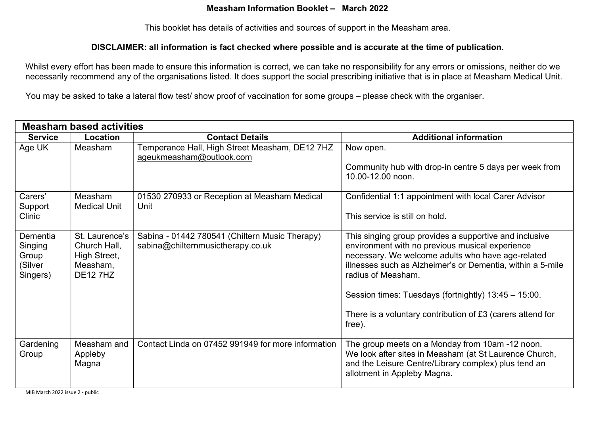## Measham Information Booklet – March 2022

This booklet has details of activities and sources of support in the Measham area.

#### DISCLAIMER: all information is fact checked where possible and is accurate at the time of publication.

Whilst every effort has been made to ensure this information is correct, we can take no responsibility for any errors or omissions, neither do we necessarily recommend any of the organisations listed. It does support the social prescribing initiative that is in place at Measham Medical Unit.

You may be asked to take a lateral flow test/ show proof of vaccination for some groups – please check with the organiser.

| <b>Measham based activities</b>                     |                                                                               |                                                                                     |                                                                                                                                                                                                                                                                                                                                                                                    |
|-----------------------------------------------------|-------------------------------------------------------------------------------|-------------------------------------------------------------------------------------|------------------------------------------------------------------------------------------------------------------------------------------------------------------------------------------------------------------------------------------------------------------------------------------------------------------------------------------------------------------------------------|
| <b>Service</b>                                      | Location                                                                      | <b>Contact Details</b>                                                              | <b>Additional information</b>                                                                                                                                                                                                                                                                                                                                                      |
| Age UK                                              | Measham                                                                       | Temperance Hall, High Street Measham, DE12 7HZ<br>ageukmeasham@outlook.com          | Now open.<br>Community hub with drop-in centre 5 days per week from<br>10.00-12.00 noon.                                                                                                                                                                                                                                                                                           |
| Carers'<br>Support<br>Clinic                        | Measham<br><b>Medical Unit</b>                                                | 01530 270933 or Reception at Measham Medical<br>Unit                                | Confidential 1:1 appointment with local Carer Advisor<br>This service is still on hold.                                                                                                                                                                                                                                                                                            |
| Dementia<br>Singing<br>Group<br>(Silver<br>Singers) | St. Laurence's<br>Church Hall,<br>High Street,<br>Measham,<br><b>DE12 7HZ</b> | Sabina - 01442 780541 (Chiltern Music Therapy)<br>sabina@chilternmusictherapy.co.uk | This singing group provides a supportive and inclusive<br>environment with no previous musical experience<br>necessary. We welcome adults who have age-related<br>illnesses such as Alzheimer's or Dementia, within a 5-mile<br>radius of Measham.<br>Session times: Tuesdays (fortnightly) 13:45 - 15:00.<br>There is a voluntary contribution of £3 (carers attend for<br>free). |
| Gardening<br>Group                                  | Measham and<br>Appleby<br>Magna                                               | Contact Linda on 07452 991949 for more information                                  | The group meets on a Monday from 10am -12 noon.<br>We look after sites in Measham (at St Laurence Church,<br>and the Leisure Centre/Library complex) plus tend an<br>allotment in Appleby Magna.                                                                                                                                                                                   |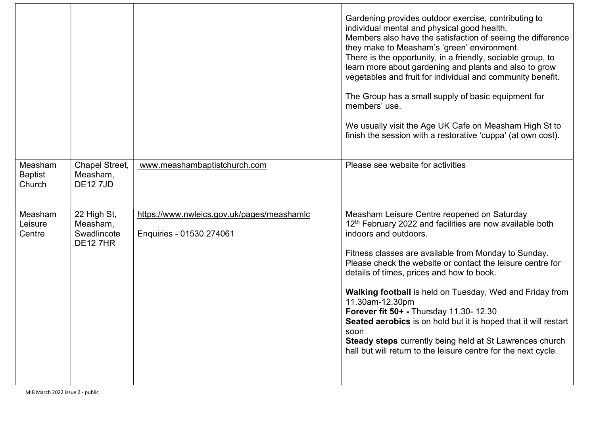|                                     |                                                           |                                                                        | Gardening provides outdoor exercise, contributing to<br>individual mental and physical good health.<br>Members also have the satisfaction of seeing the difference<br>they make to Measham's 'green' environment.<br>There is the opportunity, in a friendly, sociable group, to<br>learn more about gardening and plants and also to grow<br>vegetables and fruit for individual and community benefit.<br>The Group has a small supply of basic equipment for<br>members' use.<br>We usually visit the Age UK Cafe on Measham High St to<br>finish the session with a restorative 'cuppa' (at own cost).                               |
|-------------------------------------|-----------------------------------------------------------|------------------------------------------------------------------------|------------------------------------------------------------------------------------------------------------------------------------------------------------------------------------------------------------------------------------------------------------------------------------------------------------------------------------------------------------------------------------------------------------------------------------------------------------------------------------------------------------------------------------------------------------------------------------------------------------------------------------------|
| Measham<br><b>Baptist</b><br>Church | Chapel Street,<br>Measham,<br><b>DE127JD</b>              | www.meashambaptistchurch.com                                           | Please see website for activities                                                                                                                                                                                                                                                                                                                                                                                                                                                                                                                                                                                                        |
| Measham<br>Leisure<br>Centre        | 22 High St,<br>Measham,<br>Swadlincote<br><b>DE12 7HR</b> | https://www.nwleics.gov.uk/pages/meashamlc<br>Enquiries - 01530 274061 | Measham Leisure Centre reopened on Saturday<br>$12th$ February 2022 and facilities are now available both<br>indoors and outdoors.<br>Fitness classes are available from Monday to Sunday.<br>Please check the website or contact the leisure centre for<br>details of times, prices and how to book.<br>Walking football is held on Tuesday, Wed and Friday from<br>11.30am-12.30pm<br>Forever fit 50+ - Thursday 11.30- 12.30<br>Seated aerobics is on hold but it is hoped that it will restart<br>soon<br>Steady steps currently being held at St Lawrences church<br>hall but will return to the leisure centre for the next cycle. |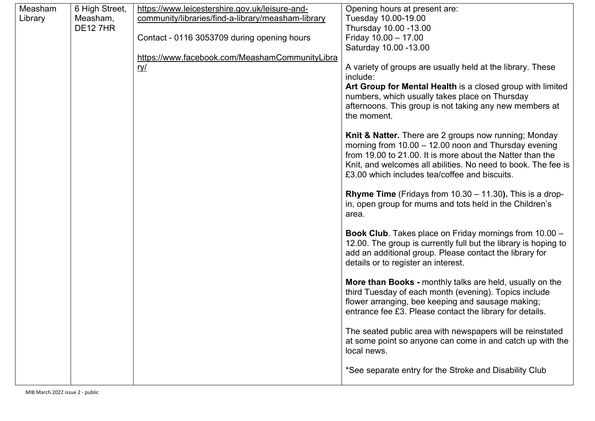| Measham | 6 High Street, | https://www.leicestershire.gov.uk/leisure-and-     | Opening hours at present are:                                      |
|---------|----------------|----------------------------------------------------|--------------------------------------------------------------------|
| Library | Measham,       | community/libraries/find-a-library/measham-library | Tuesday 10.00-19.00                                                |
|         | <b>DE127HR</b> |                                                    | Thursday 10.00 -13.00                                              |
|         |                | Contact - 0116 3053709 during opening hours        | Friday $10.00 - 17.00$                                             |
|         |                |                                                    | Saturday 10.00 -13.00                                              |
|         |                | https://www.facebook.com/MeashamCommunityLibra     |                                                                    |
|         |                | <u>ry/</u>                                         | A variety of groups are usually held at the library. These         |
|         |                |                                                    | include:                                                           |
|         |                |                                                    | Art Group for Mental Health is a closed group with limited         |
|         |                |                                                    | numbers, which usually takes place on Thursday                     |
|         |                |                                                    | afternoons. This group is not taking any new members at            |
|         |                |                                                    | the moment.                                                        |
|         |                |                                                    |                                                                    |
|         |                |                                                    | Knit & Natter. There are 2 groups now running; Monday              |
|         |                |                                                    | morning from $10.00 - 12.00$ noon and Thursday evening             |
|         |                |                                                    | from 19.00 to 21.00. It is more about the Natter than the          |
|         |                |                                                    | Knit, and welcomes all abilities. No need to book. The fee is      |
|         |                |                                                    | £3.00 which includes tea/coffee and biscuits.                      |
|         |                |                                                    |                                                                    |
|         |                |                                                    | <b>Rhyme Time</b> (Fridays from $10.30 - 11.30$ ). This is a drop- |
|         |                |                                                    | in, open group for mums and tots held in the Children's            |
|         |                |                                                    | area.                                                              |
|         |                |                                                    | Book Club. Takes place on Friday mornings from 10.00 -             |
|         |                |                                                    | 12.00. The group is currently full but the library is hoping to    |
|         |                |                                                    | add an additional group. Please contact the library for            |
|         |                |                                                    | details or to register an interest.                                |
|         |                |                                                    |                                                                    |
|         |                |                                                    | More than Books - monthly talks are held, usually on the           |
|         |                |                                                    | third Tuesday of each month (evening). Topics include              |
|         |                |                                                    | flower arranging, bee keeping and sausage making;                  |
|         |                |                                                    | entrance fee £3. Please contact the library for details.           |
|         |                |                                                    |                                                                    |
|         |                |                                                    | The seated public area with newspapers will be reinstated          |
|         |                |                                                    | at some point so anyone can come in and catch up with the          |
|         |                |                                                    | local news.                                                        |
|         |                |                                                    |                                                                    |
|         |                |                                                    | *See separate entry for the Stroke and Disability Club             |
|         |                |                                                    |                                                                    |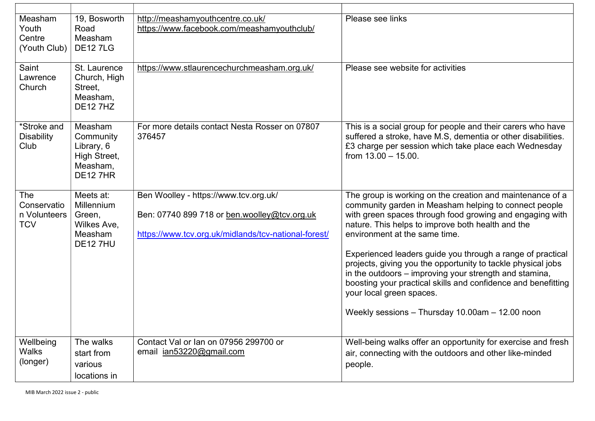| Measham<br>Youth<br>Centre<br>(Youth Club)              | 19, Bosworth<br>Road<br>Measham<br><b>DE127LG</b>                                 | http://meashamyouthcentre.co.uk/<br>https://www.facebook.com/meashamyouthclub/                                                                | Please see links                                                                                                                                                                                                                                                                                                                                                                                                                                                                                                                                                                                             |
|---------------------------------------------------------|-----------------------------------------------------------------------------------|-----------------------------------------------------------------------------------------------------------------------------------------------|--------------------------------------------------------------------------------------------------------------------------------------------------------------------------------------------------------------------------------------------------------------------------------------------------------------------------------------------------------------------------------------------------------------------------------------------------------------------------------------------------------------------------------------------------------------------------------------------------------------|
| Saint<br>Lawrence<br>Church                             | St. Laurence<br>Church, High<br>Street,<br>Measham,<br><b>DE127HZ</b>             | https://www.stlaurencechurchmeasham.org.uk/                                                                                                   | Please see website for activities                                                                                                                                                                                                                                                                                                                                                                                                                                                                                                                                                                            |
| *Stroke and<br><b>Disability</b><br>Club                | Measham<br>Community<br>Library, 6<br>High Street,<br>Measham,<br><b>DE12 7HR</b> | For more details contact Nesta Rosser on 07807<br>376457                                                                                      | This is a social group for people and their carers who have<br>suffered a stroke, have M.S, dementia or other disabilities.<br>£3 charge per session which take place each Wednesday<br>from $13.00 - 15.00$ .                                                                                                                                                                                                                                                                                                                                                                                               |
| <b>The</b><br>Conservatio<br>n Volunteers<br><b>TCV</b> | Meets at:<br>Millennium<br>Green,<br>Wilkes Ave,<br>Measham<br><b>DE127HU</b>     | Ben Woolley - https://www.tcv.org.uk/<br>Ben: 07740 899 718 or ben.woolley@tcv.org.uk<br>https://www.tcv.org.uk/midlands/tcv-national-forest/ | The group is working on the creation and maintenance of a<br>community garden in Measham helping to connect people<br>with green spaces through food growing and engaging with<br>nature. This helps to improve both health and the<br>environment at the same time.<br>Experienced leaders guide you through a range of practical<br>projects, giving you the opportunity to tackle physical jobs<br>in the outdoors – improving your strength and stamina,<br>boosting your practical skills and confidence and benefitting<br>your local green spaces.<br>Weekly sessions - Thursday 10.00am - 12.00 noon |
| Wellbeing<br><b>Walks</b><br>(longer)                   | The walks<br>start from<br>various<br>locations in                                | Contact Val or Ian on 07956 299700 or<br>email ian53220@gmail.com                                                                             | Well-being walks offer an opportunity for exercise and fresh<br>air, connecting with the outdoors and other like-minded<br>people.                                                                                                                                                                                                                                                                                                                                                                                                                                                                           |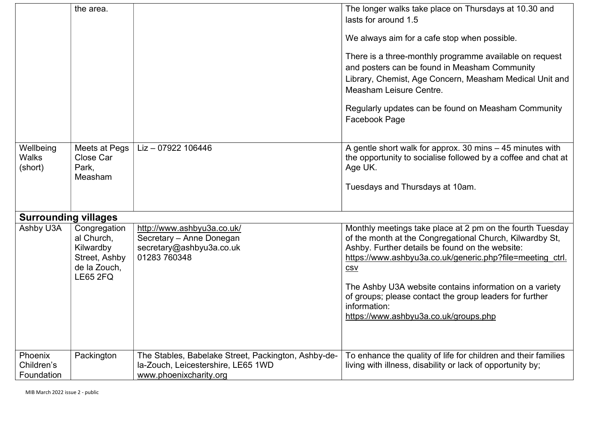|                                      | the area.                                                                                   |                                                                                                                     | The longer walks take place on Thursdays at 10.30 and<br>lasts for around 1.5<br>We always aim for a cafe stop when possible.<br>There is a three-monthly programme available on request<br>and posters can be found in Measham Community<br>Library, Chemist, Age Concern, Measham Medical Unit and<br>Measham Leisure Centre.<br>Regularly updates can be found on Measham Community<br>Facebook Page                            |
|--------------------------------------|---------------------------------------------------------------------------------------------|---------------------------------------------------------------------------------------------------------------------|------------------------------------------------------------------------------------------------------------------------------------------------------------------------------------------------------------------------------------------------------------------------------------------------------------------------------------------------------------------------------------------------------------------------------------|
| Wellbeing<br><b>Walks</b><br>(short) | Meets at Pegs<br>Close Car<br>Park,<br>Measham                                              | $Liz - 07922$ 106446                                                                                                | A gentle short walk for approx. 30 mins - 45 minutes with<br>the opportunity to socialise followed by a coffee and chat at<br>Age UK.<br>Tuesdays and Thursdays at 10am.                                                                                                                                                                                                                                                           |
| <b>Surrounding villages</b>          |                                                                                             |                                                                                                                     |                                                                                                                                                                                                                                                                                                                                                                                                                                    |
| Ashby U3A                            | Congregation<br>al Church,<br>Kilwardby<br>Street, Ashby<br>de la Zouch,<br><b>LE65 2FQ</b> | http://www.ashbyu3a.co.uk/<br>Secretary - Anne Donegan<br>secretary@ashbyu3a.co.uk<br>01283 760348                  | Monthly meetings take place at 2 pm on the fourth Tuesday<br>of the month at the Congregational Church, Kilwardby St,<br>Ashby. Further details be found on the website:<br>https://www.ashbyu3a.co.uk/generic.php?file=meeting ctrl.<br><b>CSV</b><br>The Ashby U3A website contains information on a variety<br>of groups; please contact the group leaders for further<br>information:<br>https://www.ashbyu3a.co.uk/groups.php |
| Phoenix<br>Children's<br>Foundation  | Packington                                                                                  | The Stables, Babelake Street, Packington, Ashby-de-<br>la-Zouch, Leicestershire, LE65 1WD<br>www.phoenixcharity.org | To enhance the quality of life for children and their families<br>living with illness, disability or lack of opportunity by;                                                                                                                                                                                                                                                                                                       |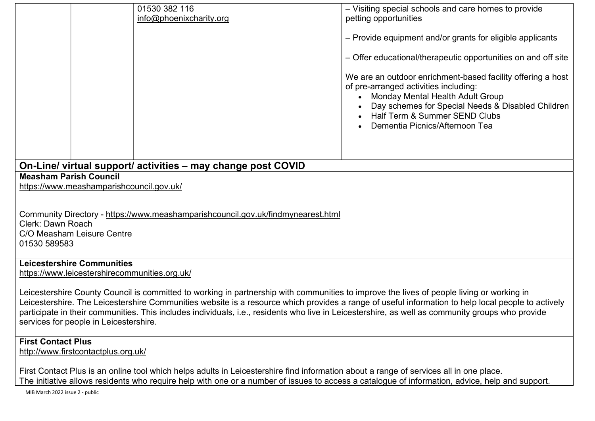|                                                                                                                                                                                                                                                                                                                                                                                                                                                                                               |                                                                                               | 01530 382 116           | - Visiting special schools and care homes to provide                                                                                                                                                                                                                               |  |  |
|-----------------------------------------------------------------------------------------------------------------------------------------------------------------------------------------------------------------------------------------------------------------------------------------------------------------------------------------------------------------------------------------------------------------------------------------------------------------------------------------------|-----------------------------------------------------------------------------------------------|-------------------------|------------------------------------------------------------------------------------------------------------------------------------------------------------------------------------------------------------------------------------------------------------------------------------|--|--|
|                                                                                                                                                                                                                                                                                                                                                                                                                                                                                               |                                                                                               | info@phoenixcharity.org | petting opportunities                                                                                                                                                                                                                                                              |  |  |
|                                                                                                                                                                                                                                                                                                                                                                                                                                                                                               |                                                                                               |                         | - Provide equipment and/or grants for eligible applicants                                                                                                                                                                                                                          |  |  |
|                                                                                                                                                                                                                                                                                                                                                                                                                                                                                               |                                                                                               |                         | - Offer educational/therapeutic opportunities on and off site                                                                                                                                                                                                                      |  |  |
|                                                                                                                                                                                                                                                                                                                                                                                                                                                                                               |                                                                                               |                         | We are an outdoor enrichment-based facility offering a host<br>of pre-arranged activities including:<br><b>Monday Mental Health Adult Group</b><br>Day schemes for Special Needs & Disabled Children<br><b>Half Term &amp; Summer SEND Clubs</b><br>Dementia Picnics/Afternoon Tea |  |  |
|                                                                                                                                                                                                                                                                                                                                                                                                                                                                                               |                                                                                               |                         |                                                                                                                                                                                                                                                                                    |  |  |
|                                                                                                                                                                                                                                                                                                                                                                                                                                                                                               | On-Line/ virtual support/ activities - may change post COVID<br><b>Measham Parish Council</b> |                         |                                                                                                                                                                                                                                                                                    |  |  |
|                                                                                                                                                                                                                                                                                                                                                                                                                                                                                               | https://www.meashamparishcouncil.gov.uk/                                                      |                         |                                                                                                                                                                                                                                                                                    |  |  |
|                                                                                                                                                                                                                                                                                                                                                                                                                                                                                               | Community Directory - https://www.meashamparishcouncil.gov.uk/findmynearest.html              |                         |                                                                                                                                                                                                                                                                                    |  |  |
| Clerk: Dawn Roach<br>C/O Measham Leisure Centre                                                                                                                                                                                                                                                                                                                                                                                                                                               |                                                                                               |                         |                                                                                                                                                                                                                                                                                    |  |  |
| 01530 589583                                                                                                                                                                                                                                                                                                                                                                                                                                                                                  |                                                                                               |                         |                                                                                                                                                                                                                                                                                    |  |  |
| <b>Leicestershire Communities</b>                                                                                                                                                                                                                                                                                                                                                                                                                                                             |                                                                                               |                         |                                                                                                                                                                                                                                                                                    |  |  |
| https://www.leicestershirecommunities.org.uk/                                                                                                                                                                                                                                                                                                                                                                                                                                                 |                                                                                               |                         |                                                                                                                                                                                                                                                                                    |  |  |
| Leicestershire County Council is committed to working in partnership with communities to improve the lives of people living or working in<br>Leicestershire. The Leicestershire Communities website is a resource which provides a range of useful information to help local people to actively<br>participate in their communities. This includes individuals, i.e., residents who live in Leicestershire, as well as community groups who provide<br>services for people in Leicestershire. |                                                                                               |                         |                                                                                                                                                                                                                                                                                    |  |  |
|                                                                                                                                                                                                                                                                                                                                                                                                                                                                                               |                                                                                               |                         |                                                                                                                                                                                                                                                                                    |  |  |
| <b>First Contact Plus</b><br>http://www.firstcontactplus.org.uk/                                                                                                                                                                                                                                                                                                                                                                                                                              |                                                                                               |                         |                                                                                                                                                                                                                                                                                    |  |  |
| First Contact Plus is an online tool which helps adults in Leicestershire find information about a range of services all in one place.<br>The initiative ellews residents who require help with one are number of isques to essesse a sateleaus of information, advise, help and support                                                                                                                                                                                                      |                                                                                               |                         |                                                                                                                                                                                                                                                                                    |  |  |

The initiative allows residents who require help with one or a number of issues to access a catalogue of information, advice, help and support.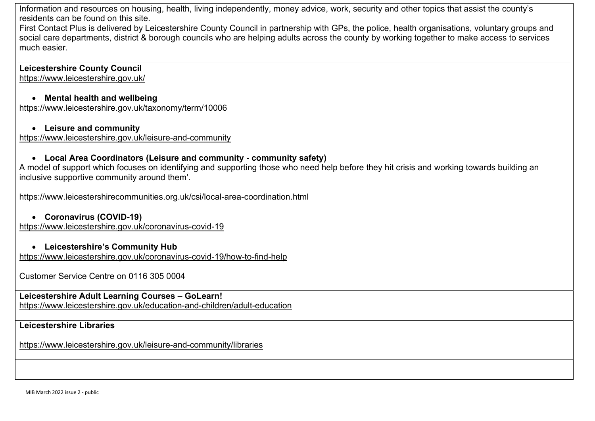Information and resources on housing, health, living independently, money advice, work, security and other topics that assist the county's residents can be found on this site.

First Contact Plus is delivered by Leicestershire County Council in partnership with GPs, the police, health organisations, voluntary groups and social care departments, district & borough councils who are helping adults across the county by working together to make access to services much easier.

Leicestershire County Council https://www.leicestershire.gov.uk/

## Mental health and wellbeing

https://www.leicestershire.gov.uk/taxonomy/term/10006

#### Leisure and community

https://www.leicestershire.gov.uk/leisure-and-community

# Local Area Coordinators (Leisure and community - community safety)

A model of support which focuses on identifying and supporting those who need help before they hit crisis and working towards building an inclusive supportive community around them'.

https://www.leicestershirecommunities.org.uk/csi/local-area-coordination.html

## Coronavirus (COVID-19)

https://www.leicestershire.gov.uk/coronavirus-covid-19

#### Leicestershire's Community Hub

https://www.leicestershire.gov.uk/coronavirus-covid-19/how-to-find-help

Customer Service Centre on 0116 305 0004

Leicestershire Adult Learning Courses – GoLearn! https://www.leicestershire.gov.uk/education-and-children/adult-education

## Leicestershire Libraries

https://www.leicestershire.gov.uk/leisure-and-community/libraries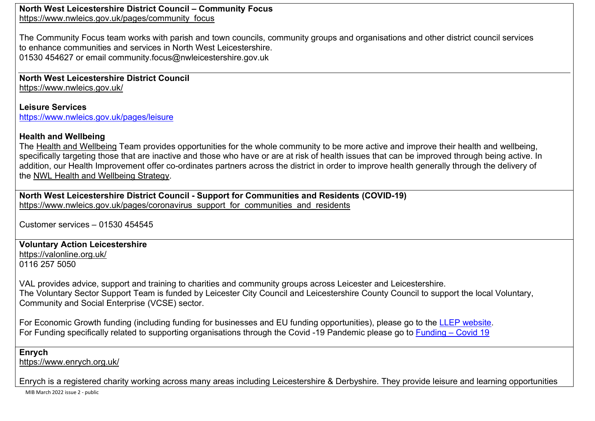North West Leicestershire District Council – Community Focus https://www.nwleics.gov.uk/pages/community\_focus

The Community Focus team works with parish and town councils, community groups and organisations and other district council services to enhance communities and services in North West Leicestershire. 01530 454627 or email community.focus@nwleicestershire.gov.uk

North West Leicestershire District Council https://www.nwleics.gov.uk/

Leisure Services https://www.nwleics.gov.uk/pages/leisure

## Health and Wellbeing

The Health and Wellbeing Team provides opportunities for the whole community to be more active and improve their health and wellbeing, specifically targeting those that are inactive and those who have or are at risk of health issues that can be improved through being active. In addition, our Health Improvement offer co-ordinates partners across the district in order to improve health generally through the delivery of the NWL Health and Wellbeing Strategy.

North West Leicestershire District Council - Support for Communities and Residents (COVID-19) https://www.nwleics.gov.uk/pages/coronavirus\_support\_for\_communities\_and\_residents

Customer services – 01530 454545

### Voluntary Action Leicestershire

https://valonline.org.uk/ 0116 257 5050

VAL provides advice, support and training to charities and community groups across Leicester and Leicestershire. The Voluntary Sector Support Team is funded by Leicester City Council and Leicestershire County Council to support the local Voluntary, Community and Social Enterprise (VCSE) sector.

For Economic Growth funding (including funding for businesses and EU funding opportunities), please go to the LLEP website. For Funding specifically related to supporting organisations through the Covid -19 Pandemic please go to Funding – Covid 19

#### Enrych

https://www.enrych.org.uk/

Enrych is a registered charity working across many areas including Leicestershire & Derbyshire. They provide leisure and learning opportunities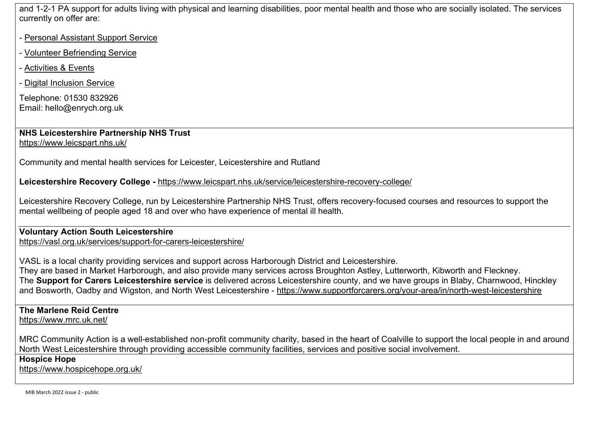and 1-2-1 PA support for adults living with physical and learning disabilities, poor mental health and those who are socially isolated. The services currently on offer are:

- Personal Assistant Support Service
- Volunteer Befriending Service
- Activities & Events
- Digital Inclusion Service

Telephone: 01530 832926 Email: hello@enrych.org.uk

NHS Leicestershire Partnership NHS Trust https://www.leicspart.nhs.uk/

Community and mental health services for Leicester, Leicestershire and Rutland

Leicestershire Recovery College - https://www.leicspart.nhs.uk/service/leicestershire-recovery-college/

Leicestershire Recovery College, run by Leicestershire Partnership NHS Trust, offers recovery-focused courses and resources to support the mental wellbeing of people aged 18 and over who have experience of mental ill health.

Voluntary Action South Leicestershire https://vasl.org.uk/services/support-for-carers-leicestershire/

VASL is a local charity providing services and support across Harborough District and Leicestershire. They are based in Market Harborough, and also provide many services across Broughton Astley, Lutterworth, Kibworth and Fleckney. The Support for Carers Leicestershire service is delivered across Leicestershire county, and we have groups in Blaby, Charnwood, Hinckley and Bosworth, Oadby and Wigston, and North West Leicestershire - https://www.supportforcarers.org/your-area/in/north-west-leicestershire

# The Marlene Reid Centre

https://www.mrc.uk.net/

MRC Community Action is a well-established non-profit community charity, based in the heart of Coalville to support the local people in and around North West Leicestershire through providing accessible community facilities, services and positive social involvement.

## Hospice Hope

https://www.hospicehope.org.uk/